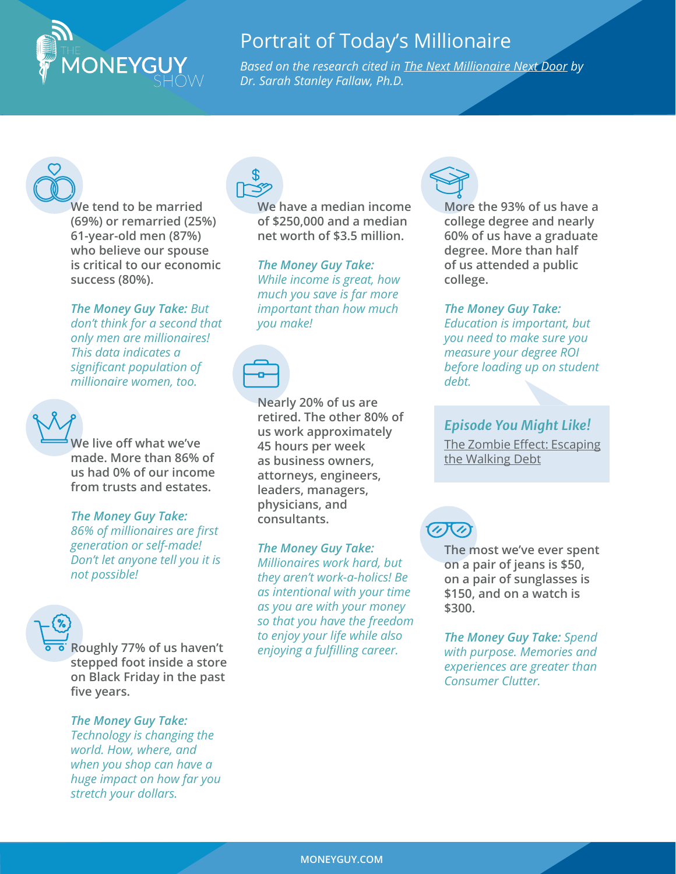## Portrait of Today's Millionaire

*[Based on the research cited in The Next Millionaire Next Door by](https://www.amazon.com/Next-Millionaire-Door-Enduring-Strategies-ebook/dp/B07G5HHFW6)  Dr. Sarah Stanley Fallaw, Ph.D.*



**We tend to be married (69%) or remarried (25%) 61-year-old men (87%) who believe our spouse is critical to our economic success (80%).**

**ONEYGUY** 

*The Money Guy Take: But don't think for a second that only men are millionaires! This data indicates a significant population of millionaire women, too.*



*The Money Guy Take: 86% of millionaires are first generation or self-made! Don't let anyone tell you it is not possible!*

**Roughly 77% of us haven't stepped foot inside a store on Black Friday in the past five years.** 

## *The Money Guy Take:*

*Technology is changing the world. How, where, and when you shop can have a huge impact on how far you stretch your dollars.*



**We have a median income of \$250,000 and a median net worth of \$3.5 million.**

*The Money Guy Take: While income is great, how much you save is far more important than how much you make!*



**Nearly 20% of us are retired. The other 80% of us work approximately 45 hours per week as business owners, attorneys, engineers, leaders, managers, physicians, and consultants.**

*The Money Guy Take: Millionaires work hard, but they aren't work-a-holics! Be as intentional with your time as you are with your money so that you have the freedom to enjoy your life while also enjoying a fulfilling career.*



**More the 93% of us have a college degree and nearly 60% of us have a graduate degree. More than half of us attended a public college.**

*The Money Guy Take: Education is important, but you need to make sure you measure your degree ROI before loading up on student debt.* 

## *Episode You Might Like!*

[The Zombie Effect: Escapin](https://www.moneyguy.com/2017/07/the-zombie-effect-how-to-escape-the-walking-debt/)g [the Walking Debt](https://www.moneyguy.com/2017/07/the-zombie-effect-how-to-escape-the-walking-debt/)



**The most we've ever spent on a pair of jeans is \$50, on a pair of sunglasses is \$150, and on a watch is \$300.**

*The Money Guy Take: Spend with purpose. Memories and experiences are greater than Consumer Clutter.*